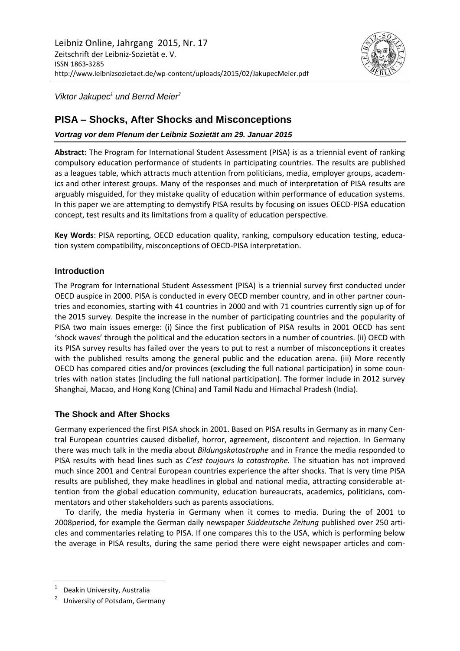

*Viktor Jakupec<sup>1</sup> und Bernd Meier<sup>2</sup>*

# **PISA – Shocks, After Shocks and Misconceptions**

*Vortrag vor dem Plenum der Leibniz Sozietät am 29. Januar 2015*

**Abstract:** The Program for International Student Assessment (PISA) is as a triennial event of ranking compulsory education performance of students in participating countries. The results are published as a leagues table, which attracts much attention from politicians, media, employer groups, academics and other interest groups. Many of the responses and much of interpretation of PISA results are arguably misguided, for they mistake quality of education within performance of education systems. In this paper we are attempting to demystify PISA results by focusing on issues OECD-PISA education concept, test results and its limitations from a quality of education perspective.

**Key Words**: PISA reporting, OECD education quality, ranking, compulsory education testing, education system compatibility, misconceptions of OECD-PISA interpretation.

## **Introduction**

The Program for International Student Assessment (PISA) is a triennial survey first conducted under OECD auspice in 2000. PISA is conducted in every OECD member country, and in other partner countries and economies, starting with 41 countries in 2000 and with 71 countries currently sign up of for the 2015 survey. Despite the increase in the number of participating countries and the popularity of PISA two main issues emerge: (i) Since the first publication of PISA results in 2001 OECD has sent 'shock waves' through the political and the education sectors in a number of countries. (ii) OECD with its PISA survey results has failed over the years to put to rest a number of misconceptions it creates with the published results among the general public and the education arena. (iii) More recently OECD has compared cities and/or provinces (excluding the full national participation) in some countries with nation states (including the full national participation). The former include in 2012 survey Shanghai, Macao, and Hong Kong (China) and Tamil Nadu and Himachal Pradesh (India).

# **The Shock and After Shocks**

Germany experienced the first PISA shock in 2001. Based on PISA results in Germany as in many Central European countries caused disbelief, horror, agreement, discontent and rejection. In Germany there was much talk in the media about *Bildungskatastrophe* and in France the media responded to PISA results with head lines such as *C'est toujours la catastrophe.* The situation has not improved much since 2001 and Central European countries experience the after shocks. That is very time PISA results are published, they make headlines in global and national media, attracting considerable attention from the global education community, education bureaucrats, academics, politicians, commentators and other stakeholders such as parents associations.

To clarify, the media hysteria in Germany when it comes to media. During the of 2001 to 2008period, for example the German daily newspaper *Süddeutsche Zeitung* published over 250 articles and commentaries relating to PISA. If one compares this to the USA, which is performing below the average in PISA results, during the same period there were eight newspaper articles and com-

 $\overline{\phantom{a}}$ 

<sup>1</sup> Deakin University, Australia

<sup>2</sup> University of Potsdam, Germany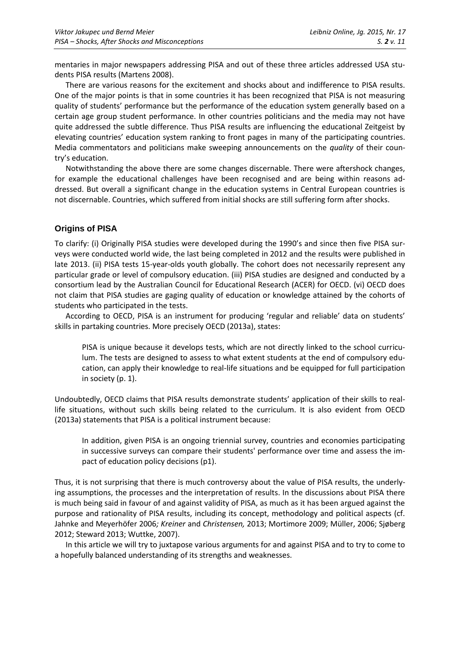mentaries in major newspapers addressing PISA and out of these three articles addressed USA students PISA results (Martens 2008).

There are various reasons for the excitement and shocks about and indifference to PISA results. One of the major points is that in some countries it has been recognized that PISA is not measuring quality of students' performance but the performance of the education system generally based on a certain age group student performance. In other countries politicians and the media may not have quite addressed the subtle difference. Thus PISA results are influencing the educational Zeitgeist by elevating countries' education system ranking to front pages in many of the participating countries. Media commentators and politicians make sweeping announcements on the *quality* of their country's education.

Notwithstanding the above there are some changes discernable. There were aftershock changes, for example the educational challenges have been recognised and are being within reasons addressed. But overall a significant change in the education systems in Central European countries is not discernable. Countries, which suffered from initial shocks are still suffering form after shocks.

### **Origins of PISA**

To clarify: (i) Originally PISA studies were developed during the 1990's and since then five PISA surveys were conducted world wide, the last being completed in 2012 and the results were published in late 2013. (ii) PISA tests 15-year-olds youth globally. The cohort does not necessarily represent any particular grade or level of compulsory education. (iii) PISA studies are designed and conducted by a consortium lead by the Australian Council for Educational Research (ACER) for OECD. (vi) OECD does not claim that PISA studies are gaging quality of education or knowledge attained by the cohorts of students who participated in the tests.

According to OECD, PISA is an instrument for producing 'regular and reliable' data on students' skills in partaking countries. More precisely OECD (2013a), states:

PISA is unique because it develops tests, which are not directly linked to the school curriculum. The tests are designed to assess to what extent students at the end of compulsory education, can apply their knowledge to real-life situations and be equipped for full participation in society (p. 1).

Undoubtedly, OECD claims that PISA results demonstrate students' application of their skills to reallife situations, without such skills being related to the curriculum. It is also evident from OECD (2013a) statements that PISA is a political instrument because:

In addition, given PISA is an ongoing triennial survey, countries and economies participating in successive surveys can compare their students' performance over time and assess the impact of education policy decisions (p1).

Thus, it is not surprising that there is much controversy about the value of PISA results, the underlying assumptions, the processes and the interpretation of results. In the discussions about PISA there is much being said in favour of and against validity of PISA, as much as it has been argued against the purpose and rationality of PISA results, including its concept, methodology and political aspects (cf. Jahnke and Meyerhöfer 2006*; Kreiner* and *Christensen,* 2013; Mortimore 2009; Müller, 2006; Sjøberg 2012; Steward 2013; Wuttke, 2007).

In this article we will try to juxtapose various arguments for and against PISA and to try to come to a hopefully balanced understanding of its strengths and weaknesses.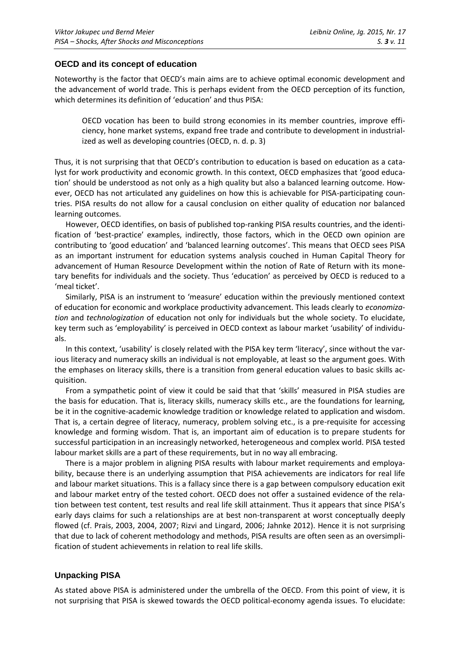#### **OECD and its concept of education**

Noteworthy is the factor that OECD's main aims are to achieve optimal economic development and the advancement of world trade. This is perhaps evident from the OECD perception of its function, which determines its definition of 'education' and thus PISA:

OECD vocation has been to build strong economies in its member countries, improve efficiency, hone market systems, expand free trade and contribute to development in industrialized as well as developing countries (OECD, n. d. p. 3)

Thus, it is not surprising that that OECD's contribution to education is based on education as a catalyst for work productivity and economic growth. In this context, OECD emphasizes that 'good education' should be understood as not only as a high quality but also a balanced learning outcome. However, OECD has not articulated any guidelines on how this is achievable for PISA-participating countries. PISA results do not allow for a causal conclusion on either quality of education nor balanced learning outcomes.

However, OECD identifies, on basis of published top-ranking PISA results countries, and the identification of 'best-practice' examples, indirectly, those factors, which in the OECD own opinion are contributing to 'good education' and 'balanced learning outcomes'. This means that OECD sees PISA as an important instrument for education systems analysis couched in Human Capital Theory for advancement of Human Resource Development within the notion of Rate of Return with its monetary benefits for individuals and the society. Thus 'education' as perceived by OECD is reduced to a 'meal ticket'.

Similarly, PISA is an instrument to 'measure' education within the previously mentioned context of education for economic and workplace productivity advancement. This leads clearly to *economization* and *technologization* of education not only for individuals but the whole society. To elucidate, key term such as 'employability' is perceived in OECD context as labour market 'usability' of individuals.

In this context, 'usability' is closely related with the PISA key term 'literacy', since without the various literacy and numeracy skills an individual is not employable, at least so the argument goes. With the emphases on literacy skills, there is a transition from general education values to basic skills acquisition.

From a sympathetic point of view it could be said that that 'skills' measured in PISA studies are the basis for education. That is, literacy skills, numeracy skills etc., are the foundations for learning, be it in the cognitive-academic knowledge tradition or knowledge related to application and wisdom. That is, a certain degree of literacy, numeracy, problem solving etc., is a pre-requisite for accessing knowledge and forming wisdom. That is, an important aim of education is to prepare students for successful participation in an increasingly networked, heterogeneous and complex world. PISA tested labour market skills are a part of these requirements, but in no way all embracing.

There is a major problem in aligning PISA results with labour market requirements and employability, because there is an underlying assumption that PISA achievements are indicators for real life and labour market situations. This is a fallacy since there is a gap between compulsory education exit and labour market entry of the tested cohort. OECD does not offer a sustained evidence of the relation between test content, test results and real life skill attainment. Thus it appears that since PISA's early days claims for such a relationships are at best non-transparent at worst conceptually deeply flowed (cf. Prais, 2003, 2004, 2007; Rizvi and Lingard, 2006; Jahnke 2012). Hence it is not surprising that due to lack of coherent methodology and methods, PISA results are often seen as an oversimplification of student achievements in relation to real life skills.

# **Unpacking PISA**

As stated above PISA is administered under the umbrella of the OECD. From this point of view, it is not surprising that PISA is skewed towards the OECD political-economy agenda issues. To elucidate: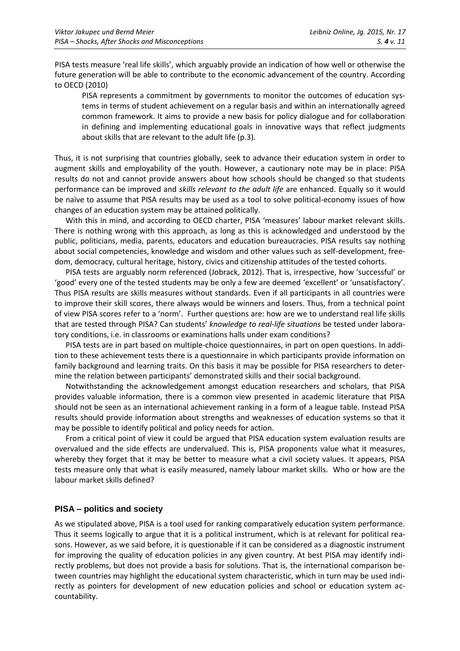PISA tests measure 'real life skills', which arguably provide an indication of how well or otherwise the future generation will be able to contribute to the economic advancement of the country. According to OECD (2010)

PISA represents a commitment by governments to monitor the outcomes of education systems in terms of student achievement on a regular basis and within an internationally agreed common framework. It aims to provide a new basis for policy dialogue and for collaboration in defining and implementing educational goals in innovative ways that reflect judgments about skills that are relevant to the adult life (p.3).

Thus, it is not surprising that countries globally, seek to advance their education system in order to augment skills and employability of the youth. However, a cautionary note may be in place: PISA results do not and cannot provide answers about how schools should be changed so that students performance can be improved and *skills relevant to the adult life* are enhanced. Equally so it would be naïve to assume that PISA results may be used as a tool to solve political-economy issues of how changes of an education system may be attained politically.

With this in mind, and according to OECD charter, PISA 'measures' labour market relevant skills. There is nothing wrong with this approach, as long as this is acknowledged and understood by the public, politicians, media, parents, educators and education bureaucracies. PISA results say nothing about social competencies, knowledge and wisdom and other values such as self-development, freedom, democracy, cultural heritage, history, civics and citizenship attitudes of the tested cohorts.

PISA tests are arguably norm referenced (Jobrack, 2012). That is, irrespective, how 'successful' or 'good' every one of the tested students may be only a few are deemed 'excellent' or 'unsatisfactory'. Thus PISA results are skills measures without standards. Even if all participants in all countries were to improve their skill scores, there always would be winners and losers. Thus, from a technical point of view PISA scores refer to a 'norm'. Further questions are: how are we to understand real life skills that are tested through PISA? Can students' *knowledge to real-life situations* be tested under laboratory conditions, i.e. in classrooms or examinations halls under exam conditions?

PISA tests are in part based on multiple-choice questionnaires, in part on open questions. In addition to these achievement tests there is a questionnaire in which participants provide information on family background and learning traits. On this basis it may be possible for PISA researchers to determine the relation between participants' demonstrated skills and their social background.

Notwithstanding the acknowledgement amongst education researchers and scholars, that PISA provides valuable information, there is a common view presented in academic literature that PISA should not be seen as an international achievement ranking in a form of a league table. Instead PISA results should provide information about strengths and weaknesses of education systems so that it may be possible to identify political and policy needs for action.

From a critical point of view it could be argued that PISA education system evaluation results are overvalued and the side effects are undervalued. This is, PISA proponents value what it measures, whereby they forget that it may be better to measure what a civil society values. It appears, PISA tests measure only that what is easily measured, namely labour market skills. Who or how are the labour market skills defined?

### **PISA – politics and society**

As we stipulated above, PISA is a tool used for ranking comparatively education system performance. Thus it seems logically to argue that it is a political instrument, which is at relevant for political reasons. However, as we said before, it is questionable if it can be considered as a diagnostic instrument for improving the quality of education policies in any given country. At best PISA may identify indirectly problems, but does not provide a basis for solutions. That is, the international comparison between countries may highlight the educational system characteristic, which in turn may be used indirectly as pointers for development of new education policies and school or education system accountability.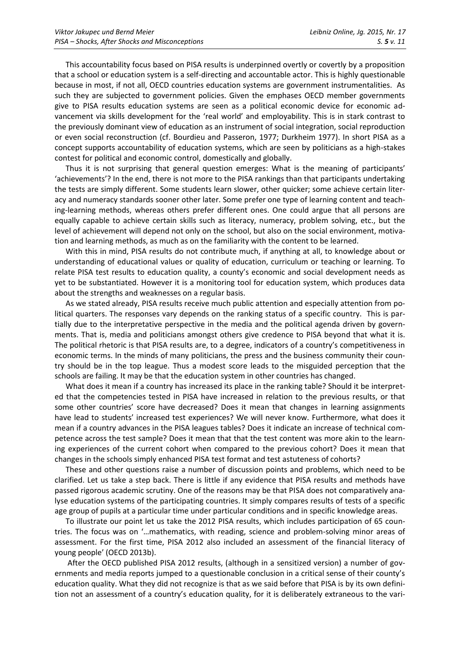This accountability focus based on PISA results is underpinned overtly or covertly by a proposition that a school or education system is a self-directing and accountable actor. This is highly questionable because in most, if not all, OECD countries education systems are government instrumentalities. As such they are subjected to government policies. Given the emphases OECD member governments give to PISA results education systems are seen as a political economic device for economic advancement via skills development for the 'real world' and employability. This is in stark contrast to the previously dominant view of education as an instrument of social integration, social reproduction or even social reconstruction (cf. Bourdieu and Passeron, 1977; Durkheim 1977). In short PISA as a concept supports accountability of education systems, which are seen by politicians as a high-stakes contest for political and economic control, domestically and globally.

Thus it is not surprising that general question emerges: What is the meaning of participants' 'achievements'? In the end, there is not more to the PISA rankings than that participants undertaking the tests are simply different. Some students learn slower, other quicker; some achieve certain literacy and numeracy standards sooner other later. Some prefer one type of learning content and teaching-learning methods, whereas others prefer different ones. One could argue that all persons are equally capable to achieve certain skills such as literacy, numeracy, problem solving, etc., but the level of achievement will depend not only on the school, but also on the social environment, motivation and learning methods, as much as on the familiarity with the content to be learned.

With this in mind, PISA results do not contribute much, if anything at all, to knowledge about or understanding of educational values or quality of education, curriculum or teaching or learning. To relate PISA test results to education quality, a county's economic and social development needs as yet to be substantiated. However it is a monitoring tool for education system, which produces data about the strengths and weaknesses on a regular basis.

As we stated already, PISA results receive much public attention and especially attention from political quarters. The responses vary depends on the ranking status of a specific country. This is partially due to the interpretative perspective in the media and the political agenda driven by governments. That is, media and politicians amongst others give credence to PISA beyond that what it is. The political rhetoric is that PISA results are, to a degree, indicators of a country's competitiveness in economic terms. In the minds of many politicians, the press and the business community their country should be in the top league. Thus a modest score leads to the misguided perception that the schools are failing. It may be that the education system in other countries has changed.

What does it mean if a country has increased its place in the ranking table? Should it be interpreted that the competencies tested in PISA have increased in relation to the previous results, or that some other countries' score have decreased? Does it mean that changes in learning assignments have lead to students' increased test experiences? We will never know. Furthermore, what does it mean if a country advances in the PISA leagues tables? Does it indicate an increase of technical competence across the test sample? Does it mean that that the test content was more akin to the learning experiences of the current cohort when compared to the previous cohort? Does it mean that changes in the schools simply enhanced PISA test format and test astuteness of cohorts?

These and other questions raise a number of discussion points and problems, which need to be clarified. Let us take a step back. There is little if any evidence that PISA results and methods have passed rigorous academic scrutiny. One of the reasons may be that PISA does not comparatively analyse education systems of the participating countries. It simply compares results of tests of a specific age group of pupils at a particular time under particular conditions and in specific knowledge areas.

To illustrate our point let us take the 2012 PISA results, which includes participation of 65 countries. The focus was on '…mathematics, with reading, science and problem-solving minor areas of assessment. For the first time, PISA 2012 also included an assessment of the financial literacy of young people' (OECD 2013b).

After the OECD published PISA 2012 results, (although in a sensitized version) a number of governments and media reports jumped to a questionable conclusion in a critical sense of their county's education quality. What they did not recognize is that as we said before that PISA is by its own definition not an assessment of a country's education quality, for it is deliberately extraneous to the vari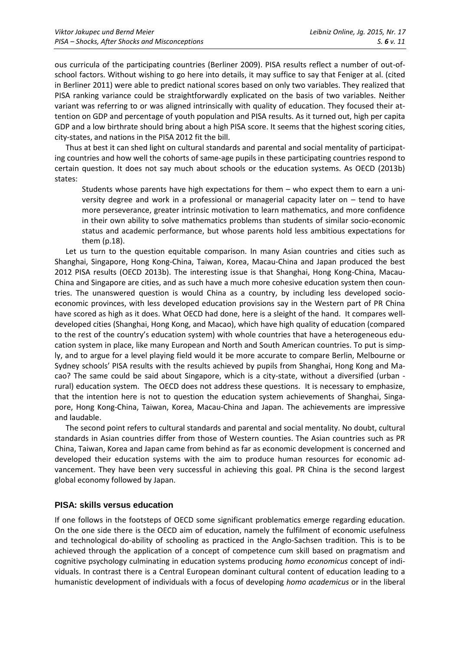ous curricula of the participating countries (Berliner 2009). PISA results reflect a number of out-ofschool factors. Without wishing to go here into details, it may suffice to say that Feniger at al. (cited in Berliner 2011) were able to predict national scores based on only two variables. They realized that PISA ranking variance could be straightforwardly explicated on the basis of two variables. Neither variant was referring to or was aligned intrinsically with quality of education. They focused their attention on GDP and percentage of youth population and PISA results. As it turned out, high per capita GDP and a low birthrate should bring about a high PISA score. It seems that the highest scoring cities, city-states, and nations in the PISA 2012 fit the bill.

Thus at best it can shed light on cultural standards and parental and social mentality of participating countries and how well the cohorts of same-age pupils in these participating countries respond to certain question. It does not say much about schools or the education systems. As OECD (2013b) states:

Students whose parents have high expectations for them – who expect them to earn a university degree and work in a professional or managerial capacity later on – tend to have more perseverance, greater intrinsic motivation to learn mathematics, and more confidence in their own ability to solve mathematics problems than students of similar socio-economic status and academic performance, but whose parents hold less ambitious expectations for them (p.18).

Let us turn to the question equitable comparison. In many Asian countries and cities such as Shanghai, Singapore, Hong Kong-China, Taiwan, Korea, Macau-China and Japan produced the best 2012 PISA results (OECD 2013b). The interesting issue is that Shanghai, Hong Kong-China, Macau-China and Singapore are cities, and as such have a much more cohesive education system then countries. The unanswered question is would China as a country, by including less developed socioeconomic provinces, with less developed education provisions say in the Western part of PR China have scored as high as it does. What OECD had done, here is a sleight of the hand. It compares welldeveloped cities (Shanghai, Hong Kong, and Macao), which have high quality of education (compared to the rest of the country's education system) with whole countries that have a heterogeneous education system in place, like many European and North and South American countries. To put is simply, and to argue for a level playing field would it be more accurate to compare Berlin, Melbourne or Sydney schools' PISA results with the results achieved by pupils from Shanghai, Hong Kong and Macao? The same could be said about Singapore, which is a city-state, without a diversified (urban rural) education system. The OECD does not address these questions. It is necessary to emphasize, that the intention here is not to question the education system achievements of Shanghai, Singapore, Hong Kong-China, Taiwan, Korea, Macau-China and Japan. The achievements are impressive and laudable.

The second point refers to cultural standards and parental and social mentality. No doubt, cultural standards in Asian countries differ from those of Western counties. The Asian countries such as PR China, Taiwan, Korea and Japan came from behind as far as economic development is concerned and developed their education systems with the aim to produce human resources for economic advancement. They have been very successful in achieving this goal. PR China is the second largest global economy followed by Japan.

### **PISA: skills versus education**

If one follows in the footsteps of OECD some significant problematics emerge regarding education. On the one side there is the OECD aim of education, namely the fulfilment of economic usefulness and technological do-ability of schooling as practiced in the Anglo-Sachsen tradition. This is to be achieved through the application of a concept of competence cum skill based on pragmatism and cognitive psychology culminating in education systems producing *homo economicus* concept of individuals. In contrast there is a Central European dominant cultural content of education leading to a humanistic development of individuals with a focus of developing *homo academicus* or in the liberal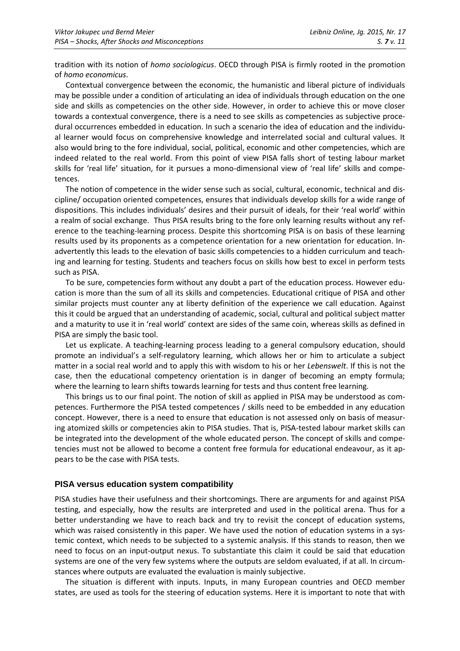tradition with its notion of *homo sociologicus*. OECD through PISA is firmly rooted in the promotion of *homo economicus*.

Contextual convergence between the economic, the humanistic and liberal picture of individuals may be possible under a condition of articulating an idea of individuals through education on the one side and skills as competencies on the other side. However, in order to achieve this or move closer towards a contextual convergence, there is a need to see skills as competencies as subjective procedural occurrences embedded in education. In such a scenario the idea of education and the individual learner would focus on comprehensive knowledge and interrelated social and cultural values. It also would bring to the fore individual, social, political, economic and other competencies, which are indeed related to the real world. From this point of view PISA falls short of testing labour market skills for 'real life' situation, for it pursues a mono-dimensional view of 'real life' skills and competences.

The notion of competence in the wider sense such as social, cultural, economic, technical and discipline/ occupation oriented competences, ensures that individuals develop skills for a wide range of dispositions. This includes individuals' desires and their pursuit of ideals, for their 'real world' within a realm of social exchange. Thus PISA results bring to the fore only learning results without any reference to the teaching-learning process. Despite this shortcoming PISA is on basis of these learning results used by its proponents as a competence orientation for a new orientation for education. Inadvertently this leads to the elevation of basic skills competencies to a hidden curriculum and teaching and learning for testing. Students and teachers focus on skills how best to excel in perform tests such as PISA.

To be sure, competencies form without any doubt a part of the education process. However education is more than the sum of all its skills and competencies. Educational critique of PISA and other similar projects must counter any at liberty definition of the experience we call education. Against this it could be argued that an understanding of academic, social, cultural and political subject matter and a maturity to use it in 'real world' context are sides of the same coin, whereas skills as defined in PISA are simply the basic tool.

Let us explicate. A teaching-learning process leading to a general compulsory education, should promote an individual's a self-regulatory learning, which allows her or him to articulate a subject matter in a social real world and to apply this with wisdom to his or her *Lebenswelt*. If this is not the case, then the educational competency orientation is in danger of becoming an empty formula; where the learning to learn shifts towards learning for tests and thus content free learning.

This brings us to our final point. The notion of skill as applied in PISA may be understood as competences. Furthermore the PISA tested competences / skills need to be embedded in any education concept. However, there is a need to ensure that education is not assessed only on basis of measuring atomized skills or competencies akin to PISA studies. That is, PISA-tested labour market skills can be integrated into the development of the whole educated person. The concept of skills and competencies must not be allowed to become a content free formula for educational endeavour, as it appears to be the case with PISA tests.

### **PISA versus education system compatibility**

PISA studies have their usefulness and their shortcomings. There are arguments for and against PISA testing, and especially, how the results are interpreted and used in the political arena. Thus for a better understanding we have to reach back and try to revisit the concept of education systems, which was raised consistently in this paper. We have used the notion of education systems in a systemic context, which needs to be subjected to a systemic analysis. If this stands to reason, then we need to focus on an input-output nexus. To substantiate this claim it could be said that education systems are one of the very few systems where the outputs are seldom evaluated, if at all. In circumstances where outputs are evaluated the evaluation is mainly subjective.

The situation is different with inputs. Inputs, in many European countries and OECD member states, are used as tools for the steering of education systems. Here it is important to note that with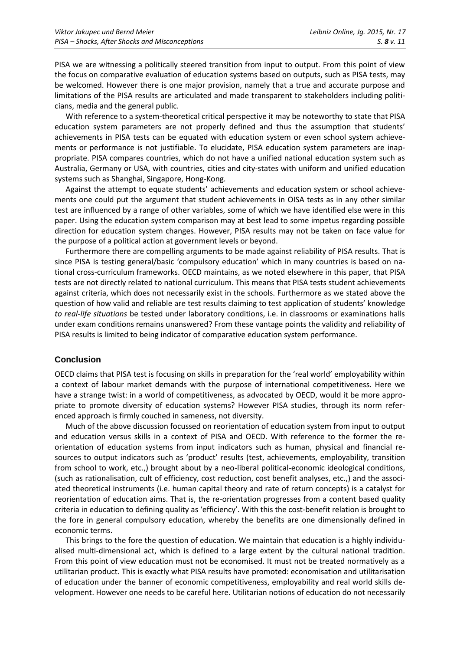PISA we are witnessing a politically steered transition from input to output. From this point of view the focus on comparative evaluation of education systems based on outputs, such as PISA tests, may be welcomed. However there is one major provision, namely that a true and accurate purpose and limitations of the PISA results are articulated and made transparent to stakeholders including politicians, media and the general public.

With reference to a system-theoretical critical perspective it may be noteworthy to state that PISA education system parameters are not properly defined and thus the assumption that students' achievements in PISA tests can be equated with education system or even school system achievements or performance is not justifiable. To elucidate, PISA education system parameters are inappropriate. PISA compares countries, which do not have a unified national education system such as Australia, Germany or USA, with countries, cities and city-states with uniform and unified education systems such as Shanghai, Singapore, Hong-Kong.

Against the attempt to equate students' achievements and education system or school achievements one could put the argument that student achievements in OISA tests as in any other similar test are influenced by a range of other variables, some of which we have identified else were in this paper. Using the education system comparison may at best lead to some impetus regarding possible direction for education system changes. However, PISA results may not be taken on face value for the purpose of a political action at government levels or beyond.

Furthermore there are compelling arguments to be made against reliability of PISA results. That is since PISA is testing general/basic 'compulsory education' which in many countries is based on national cross-curriculum frameworks. OECD maintains, as we noted elsewhere in this paper, that PISA tests are not directly related to national curriculum. This means that PISA tests student achievements against criteria, which does not necessarily exist in the schools. Furthermore as we stated above the question of how valid and reliable are test results claiming to test application of students' knowledge *to real-life situations* be tested under laboratory conditions, i.e. in classrooms or examinations halls under exam conditions remains unanswered? From these vantage points the validity and reliability of PISA results is limited to being indicator of comparative education system performance.

### **Conclusion**

OECD claims that PISA test is focusing on skills in preparation for the 'real world' employability within a context of labour market demands with the purpose of international competitiveness. Here we have a strange twist: in a world of competitiveness, as advocated by OECD, would it be more appropriate to promote diversity of education systems? However PISA studies, through its norm referenced approach is firmly couched in sameness, not diversity.

Much of the above discussion focussed on reorientation of education system from input to output and education versus skills in a context of PISA and OECD. With reference to the former the reorientation of education systems from input indicators such as human, physical and financial resources to output indicators such as 'product' results (test, achievements, employability, transition from school to work, etc.,) brought about by a neo-liberal political-economic ideological conditions, (such as rationalisation, cult of efficiency, cost reduction, cost benefit analyses, etc.,) and the associated theoretical instruments (i.e. human capital theory and rate of return concepts) is a catalyst for reorientation of education aims. That is, the re-orientation progresses from a content based quality criteria in education to defining quality as 'efficiency'. With this the cost-benefit relation is brought to the fore in general compulsory education, whereby the benefits are one dimensionally defined in economic terms.

This brings to the fore the question of education. We maintain that education is a highly individualised multi-dimensional act, which is defined to a large extent by the cultural national tradition. From this point of view education must not be economised. It must not be treated normatively as a utilitarian product. This is exactly what PISA results have promoted: economisation and utilitarisation of education under the banner of economic competitiveness, employability and real world skills development. However one needs to be careful here. Utilitarian notions of education do not necessarily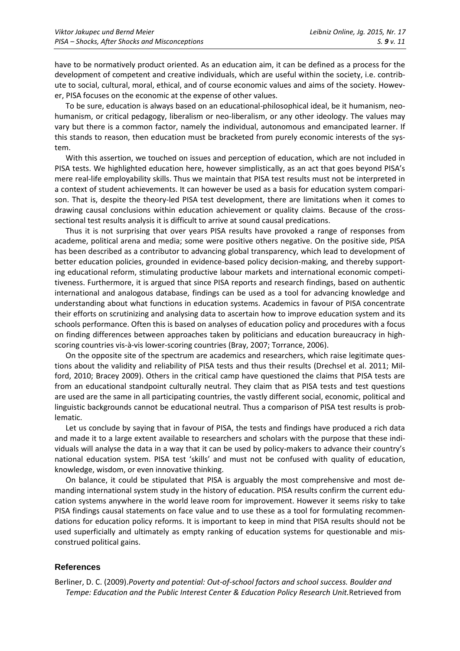have to be normatively product oriented. As an education aim, it can be defined as a process for the development of competent and creative individuals, which are useful within the society, i.e. contribute to social, cultural, moral, ethical, and of course economic values and aims of the society. However, PISA focuses on the economic at the expense of other values.

To be sure, education is always based on an educational-philosophical ideal, be it humanism, neohumanism, or critical pedagogy, liberalism or neo-liberalism, or any other ideology. The values may vary but there is a common factor, namely the individual, autonomous and emancipated learner. If this stands to reason, then education must be bracketed from purely economic interests of the system.

With this assertion, we touched on issues and perception of education, which are not included in PISA tests. We highlighted education here, however simplistically, as an act that goes beyond PISA's mere real-life employability skills. Thus we maintain that PISA test results must not be interpreted in a context of student achievements. It can however be used as a basis for education system comparison. That is, despite the theory-led PISA test development, there are limitations when it comes to drawing causal conclusions within education achievement or quality claims. Because of the crosssectional test results analysis it is difficult to arrive at sound causal predications.

Thus it is not surprising that over years PISA results have provoked a range of responses from academe, political arena and media; some were positive others negative. On the positive side, PISA has been described as a contributor to advancing global transparency, which lead to development of better education policies, grounded in evidence-based policy decision-making, and thereby supporting educational reform, stimulating productive labour markets and international economic competitiveness. Furthermore, it is argued that since PISA reports and research findings, based on authentic international and analogous database, findings can be used as a tool for advancing knowledge and understanding about what functions in education systems. Academics in favour of PISA concentrate their efforts on scrutinizing and analysing data to ascertain how to improve education system and its schools performance. Often this is based on analyses of education policy and procedures with a focus on finding differences between approaches taken by politicians and education bureaucracy in highscoring countries vis-à-vis lower-scoring countries (Bray, 2007; Torrance, 2006).

On the opposite site of the spectrum are academics and researchers, which raise legitimate questions about the validity and reliability of PISA tests and thus their results (Drechsel et al. 2011; Milford, 2010; Bracey 2009). Others in the critical camp have questioned the claims that PISA tests are from an educational standpoint culturally neutral. They claim that as PISA tests and test questions are used are the same in all participating countries, the vastly different social, economic, political and linguistic backgrounds cannot be educational neutral. Thus a comparison of PISA test results is problematic.

Let us conclude by saying that in favour of PISA, the tests and findings have produced a rich data and made it to a large extent available to researchers and scholars with the purpose that these individuals will analyse the data in a way that it can be used by policy-makers to advance their country's national education system. PISA test 'skills' and must not be confused with quality of education, knowledge, wisdom, or even innovative thinking.

On balance, it could be stipulated that PISA is arguably the most comprehensive and most demanding international system study in the history of education. PISA results confirm the current education systems anywhere in the world leave room for improvement. However it seems risky to take PISA findings causal statements on face value and to use these as a tool for formulating recommendations for education policy reforms. It is important to keep in mind that PISA results should not be used superficially and ultimately as empty ranking of education systems for questionable and misconstrued political gains.

#### **References**

Berliner, D. C. (2009).*Poverty and potential: Out-of-school factors and school success. Boulder and Tempe: Education and the Public Interest Center & Education Policy Research Unit.*Retrieved from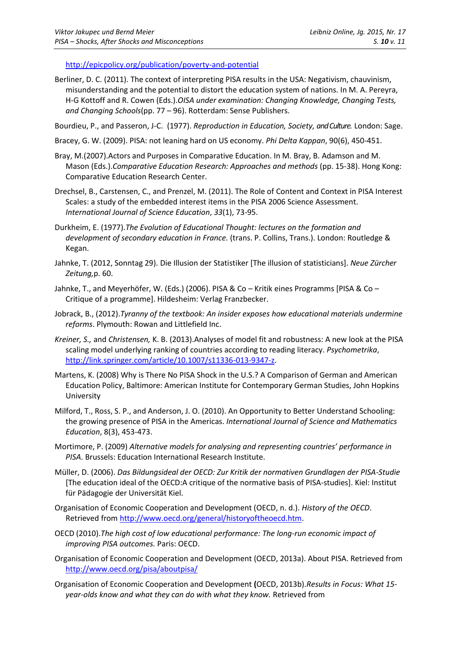<http://epicpolicy.org/publication/poverty-and-potential>

- Berliner, D. C. (2011). The context of interpreting PISA results in the USA: Negativism, chauvinism, misunderstanding and the potential to distort the education system of nations. In M. A. Pereyra, H-G Kottoff and R. Cowen (Eds.).*OISA under examination: Changing Knowledge, Changing Tests, and Changing Schools*(pp. 77 – 96). Rotterdam: Sense Publishers.
- Bourdieu, P., and Passeron, J-C. (1977). *Reproduction in Education, Society, and Culture.* London: Sage.
- Bracey, G. W. (2009). PISA: not leaning hard on US economy. *Phi Delta Kappan*, 90(6), 450-451.
- Bray, M.(2007).Actors and Purposes in Comparative Education. In M. Bray, B. Adamson and M. Mason (Eds.).*Comparative Education Research: Approaches and methods* (pp. 15-38). Hong Kong: Comparative Education Research Center.
- Drechsel, B., Carstensen, C., and Prenzel, M. (2011). The Role of Content and Context in PISA Interest Scales: a study of the embedded interest items in the PISA 2006 Science Assessment. *International Journal of Science Education*, *33*(1), 73-95.
- Durkheim, E. (1977).*The Evolution of Educational Thought: lectures on the formation and development of secondary education in France.* (trans. P. Collins, Trans.). London: Routledge & Kegan.
- Jahnke, T. (2012, Sonntag 29). Die Illusion der Statistiker [The illusion of statisticians]. *Neue Zürcher Zeitung,*p. 60.
- Jahnke, T., and Meyerhöfer, W. (Eds.) (2006). PISA & Co Kritik eines Programms [PISA & Co Critique of a programme]. Hildesheim: Verlag Franzbecker.
- Jobrack, B., (2012).*Tyranny of the textbook: An insider exposes how educational materials undermine reforms*. Plymouth: Rowan and Littlefield Inc.
- *Kreiner, S.,* and *Christensen,* K. B. (2013).Analyses of model fit and robustness: A new look at the PISA scaling model underlying ranking of countries according to reading literacy. *Psychometrika*, [http://link.springer.com/article/10.1007/s11336-013-9347-z.](http://link.springer.com/article/10.1007/s11336-013-9347-z)
- Martens, K. (2008) Why is There No PISA Shock in the U.S.? A Comparison of German and American Education Policy, Baltimore: American Institute for Contemporary German Studies, John Hopkins University
- Milford, T., Ross, S. P., and Anderson, J. O. (2010). An Opportunity to Better Understand Schooling: the growing presence of PISA in the Americas. *International Journal of Science and Mathematics Education*, 8(3), 453-473.
- Mortimore, P. (2009) *Alternative models for analysing and representing countries' performance in PISA*. Brussels: Education International Research Institute.
- Müller, D. (2006). *Das Bildungsideal der OECD: Zur Kritik der normativen Grundlagen der PISA-Studie* [The education ideal of the OECD:A critique of the normative basis of PISA-studies]. Kiel: Institut für Pädagogie der Universität Kiel.
- Organisation of Economic Cooperation and Development (OECD, n. d.). *History of the OECD*. Retrieved from [http://www.oecd.org/general/historyoftheoecd.htm.](http://www.oecd.org/general/historyoftheoecd.htm)
- OECD (2010).*The high cost of low educational performance: The long-run economic impact of improving PISA outcomes.* Paris: OECD.
- Organisation of Economic Cooperation and Development (OECD, 2013a). About PISA. Retrieved from <http://www.oecd.org/pisa/aboutpisa/>
- Organisation of Economic Cooperation and Development **(**OECD, 2013b).*Results in Focus: What 15 year-olds know and what they can do with what they know.* Retrieved from